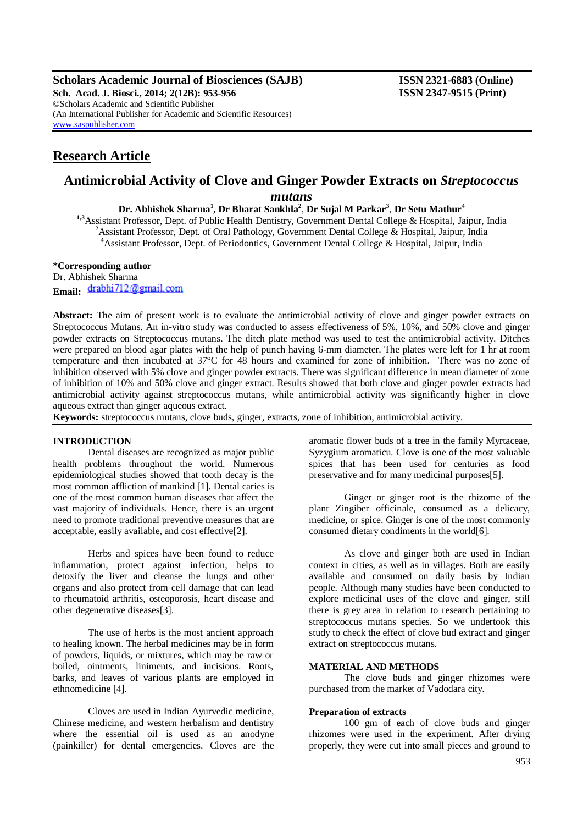**Scholars Academic Journal of Biosciences (SAJB) ISSN 2321-6883 (Online) Sch. Acad. J. Biosci., 2014; 2(12B): 953-956 ISSN 2347-9515 (Print)** ©Scholars Academic and Scientific Publisher (An International Publisher for Academic and Scientific Resources) [www.saspublisher.com](http://www.saspublisher.com/)

# **Research Article**

# **Antimicrobial Activity of Clove and Ginger Powder Extracts on** *Streptococcus mutans*

**Dr. Abhishek Sharma<sup>1</sup> , Dr Bharat Sankhla<sup>2</sup>** , **Dr Sujal M Parkar<sup>3</sup>** , **Dr Setu Mathur**<sup>4</sup>

**1,3**Assistant Professor, Dept. of Public Health Dentistry, Government Dental College & Hospital, Jaipur, India <sup>2</sup> Assistant Professor, Dept. of Oral Pathology, Government Dental College & Hospital, Jaipur, India <sup>4</sup> Assistant Professor, Dept. of Periodontics, Government Dental College & Hospital, Jaipur, India

#### **\*Corresponding author**

Dr. Abhishek Sharma Email: drabhi712@gmail.com

**Abstract:** The aim of present work is to evaluate the antimicrobial activity of clove and ginger powder extracts on Streptococcus Mutans. An in-vitro study was conducted to assess effectiveness of 5%, 10%, and 50% clove and ginger powder extracts on Streptococcus mutans. The ditch plate method was used to test the antimicrobial activity. Ditches were prepared on blood agar plates with the help of punch having 6-mm diameter. The plates were left for 1 hr at room temperature and then incubated at 37°C for 48 hours and examined for zone of inhibition. There was no zone of inhibition observed with 5% clove and ginger powder extracts. There was significant difference in mean diameter of zone of inhibition of 10% and 50% clove and ginger extract. Results showed that both clove and ginger powder extracts had antimicrobial activity against streptococcus mutans, while antimicrobial activity was significantly higher in clove aqueous extract than ginger aqueous extract.

**Keywords:** streptococcus mutans, clove buds, ginger, extracts, zone of inhibition, antimicrobial activity.

#### **INTRODUCTION**

Dental diseases are recognized as major public health problems throughout the world. Numerous epidemiological studies showed that tooth decay is the most common affliction of mankind [1]. Dental caries is one of the most common human diseases that affect the vast majority of individuals. Hence, there is an urgent need to promote traditional preventive measures that are acceptable, easily available, and cost effective[2].

Herbs and spices have been found to reduce inflammation, protect against infection, helps to detoxify the liver and cleanse the lungs and other organs and also protect from cell damage that can lead to rheumatoid arthritis, osteoporosis, heart disease and other degenerative diseases[3].

The use of herbs is the most ancient approach to healing known. The herbal medicines may be in form of powders, liquids, or mixtures, which may be raw or boiled, ointments, liniments, and incisions. Roots, barks, and leaves of various plants are employed in ethnomedicine [4].

Cloves are used in Indian [Ayurvedic](http://en.wikipedia.org/wiki/Ayurveda) medicine, [Chinese medicine,](http://en.wikipedia.org/wiki/Chinese_medicine) and western [herbalism](http://en.wikipedia.org/wiki/Herbalism) and [dentistry](http://en.wikipedia.org/wiki/Dentistry) where the [essential oil](http://en.wikipedia.org/wiki/Oil_of_cloves) is used as an [anodyne](http://en.wikipedia.org/wiki/Anodyne) (painkiller) for dental emergencies. Cloves are the

aromatic [flower](http://en.wikipedia.org/wiki/Flower) [buds](http://en.wikipedia.org/wiki/Bud) of a tree in the family [Myrtaceae,](http://en.wikipedia.org/wiki/Myrtaceae) Syzygium aromaticu. Clove is one of the most valuable spices that has been used for centuries as food preservative and for many medicinal purposes[5].

Ginger or ginger root is the [rhizome](http://en.wikipedia.org/wiki/Rhizome) of the plant [Zingiber](http://en.wikipedia.org/wiki/Zingiber) officinale, consumed as a [delicacy,](http://en.wikipedia.org/wiki/Delicacy) [medicine,](http://en.wikipedia.org/wiki/Medicine) or [spice.](http://en.wikipedia.org/wiki/Spice) Ginger is one of the most commonly consumed dietary condiments in the world[6].

As clove and ginger both are used in Indian context in cities, as well as in villages. Both are easily available and consumed on daily basis by Indian people. Although many studies have been conducted to explore medicinal uses of the clove and ginger, still there is grey area in relation to research pertaining to streptococcus mutans species. So we undertook this study to check the effect of clove bud extract and ginger extract on streptococcus mutans.

#### **MATERIAL AND METHODS**

The clove buds and ginger rhizomes were purchased from the market of Vadodara city.

#### **Preparation of extracts**

100 gm of each of clove buds and ginger rhizomes were used in the experiment. After drying properly, they were cut into small pieces and ground to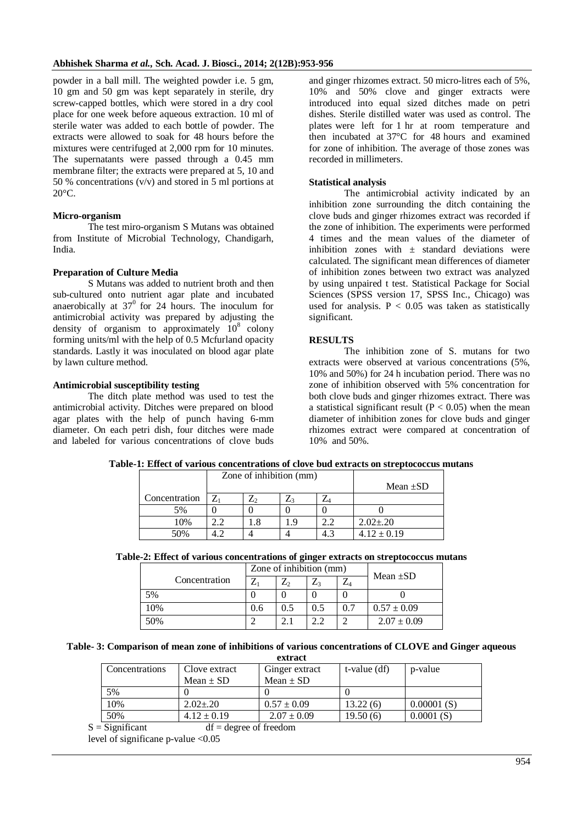powder in a ball mill. The weighted powder i.e. 5 gm, 10 gm and 50 gm was kept separately in sterile, dry screw-capped bottles, which were stored in a dry cool place for one week before aqueous extraction. 10 ml of sterile water was added to each bottle of powder. The extracts were allowed to soak for 48 hours before the mixtures were centrifuged at 2,000 rpm for 10 minutes. The supernatants were passed through a 0.45 mm membrane filter; the extracts were prepared at 5, 10 and 50 % concentrations (v/v) and stored in 5 ml portions at 20°C.

## **Micro-organism**

The test miro-organism S Mutans was obtained from Institute of Microbial Technology, Chandigarh, India.

## **Preparation of Culture Media**

S Mutans was added to nutrient broth and then sub-cultured onto nutrient agar plate and incubated anaerobically at  $37<sup>0</sup>$  for 24 hours. The inoculum for antimicrobial activity was prepared by adjusting the density of organism to approximately  $10^8$  colony forming units/ml with the help of 0.5 Mcfurland opacity standards. Lastly it was inoculated on blood agar plate by lawn culture method.

## **Antimicrobial susceptibility testing**

The ditch plate method was used to test the antimicrobial activity. Ditches were prepared on blood agar plates with the help of punch having 6-mm diameter. On each petri dish, four ditches were made and labeled for various concentrations of clove buds

and ginger rhizomes extract. 50 micro-litres each of 5%, 10% and 50% clove and ginger extracts were introduced into equal sized ditches made on petri dishes. Sterile distilled water was used as control. The plates were left for 1 hr at room temperature and then incubated at 37°C for 48 hours and examined for zone of inhibition. The average of those zones was recorded in millimeters.

#### **Statistical analysis**

The antimicrobial activity indicated by an inhibition zone surrounding the ditch containing the clove buds and ginger rhizomes extract was recorded if the zone of inhibition. The experiments were performed 4 times and the mean values of the diameter of inhibition zones with  $\pm$  standard deviations were calculated. The significant mean differences of diameter of inhibition zones between two extract was analyzed by using unpaired t test. Statistical Package for Social Sciences (SPSS version 17, SPSS Inc., Chicago) was used for analysis.  $P < 0.05$  was taken as statistically significant.

## **RESULTS**

The inhibition zone of S. mutans for two extracts were observed at various concentrations (5%, 10% and 50%) for 24 h incubation period. There was no zone of inhibition observed with 5% concentration for both clove buds and ginger rhizomes extract. There was a statistical significant result ( $P < 0.05$ ) when the mean diameter of inhibition zones for clove buds and ginger rhizomes extract were compared at concentration of 10% and 50%.

|               | Zone of inhibition (mm) |  |               |   |                 |
|---------------|-------------------------|--|---------------|---|-----------------|
|               |                         |  | Mean $\pm SD$ |   |                 |
| Concentration |                         |  |               |   |                 |
| 5%            |                         |  |               |   |                 |
| 10%           |                         |  |               | ി | $2.02 \pm 0.20$ |
| 50%           |                         |  |               |   | $4.12 \pm 0.19$ |

|  |  |  | Table-1: Effect of various concentrations of clove bud extracts on streptococcus mutans |
|--|--|--|-----------------------------------------------------------------------------------------|
|--|--|--|-----------------------------------------------------------------------------------------|

|  |  |  | Table-2: Effect of various concentrations of ginger extracts on streptococcus mutans |  |  |  |  |  |
|--|--|--|--------------------------------------------------------------------------------------|--|--|--|--|--|
|--|--|--|--------------------------------------------------------------------------------------|--|--|--|--|--|

|               | Zone of inhibition (mm) |     |     |     | Mean $\pm SD$   |  |
|---------------|-------------------------|-----|-----|-----|-----------------|--|
| Concentration | 7                       | Z,  |     | ∠⊿  |                 |  |
| 5%            |                         |     |     |     |                 |  |
| 10%           | 0.6                     | 0.5 | 0.5 | 0.7 | $0.57 \pm 0.09$ |  |
| 50%           |                         |     | うつ  |     | $2.07 \pm 0.09$ |  |

**Table- 3: Comparison of mean zone of inhibitions of various concentrations of CLOVE and Ginger aqueous extract**

|                                 | UALL AUL |                 |                 |              |            |  |  |  |
|---------------------------------|----------|-----------------|-----------------|--------------|------------|--|--|--|
| Concentrations<br>Clove extract |          |                 | Ginger extract  | t-value (df) | p-value    |  |  |  |
|                                 |          | Mean $\pm$ SD   | Mean $\pm$ SD   |              |            |  |  |  |
|                                 | 5%       |                 |                 |              |            |  |  |  |
|                                 | 10%      | $2.02 \pm 0.20$ | $0.57 \pm 0.09$ | 13.22(6)     | 0.00001(S) |  |  |  |
|                                 | 50%      | $4.12 \pm 0.19$ | $2.07 \pm 0.09$ | 19.50(6)     | 0.0001(S)  |  |  |  |

 $S =$ Significant df = degree of freedom

level of significane p-value <0.05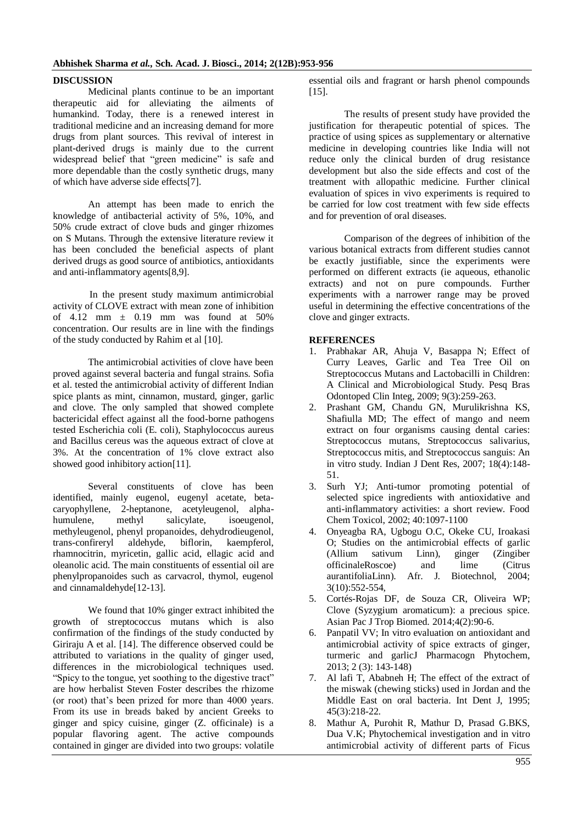#### **DISCUSSION**

Medicinal plants continue to be an important therapeutic aid for alleviating the ailments of humankind. Today, there is a renewed interest in traditional medicine and an increasing demand for more drugs from plant sources. This revival of interest in plant-derived drugs is mainly due to the current widespread belief that "green medicine" is safe and more dependable than the costly synthetic drugs, many of which have adverse side effects[7].

An attempt has been made to enrich the knowledge of antibacterial activity of 5%, 10%, and 50% crude extract of clove buds and ginger rhizomes on S Mutans. Through the extensive literature review it has been concluded the beneficial aspects of plant derived drugs as good source of antibiotics, antioxidants and anti-inflammatory agents[8,9].

 In the present study maximum antimicrobial activity of CLOVE extract with mean zone of inhibition of  $4.12$  mm  $\pm$  0.19 mm was found at 50% concentration. Our results are in line with the findings of the study conducted by Rahim et al [10].

The antimicrobial activities of clove have been proved against several bacteria and fungal strains. Sofia et al. tested the antimicrobial activity of different Indian spice plants as mint, cinnamon, mustard, ginger, garlic and clove. The only sampled that showed complete bactericidal effect against all the food-borne pathogens tested Escherichia coli (E. coli), Staphylococcus aureus and Bacillus cereus was the aqueous extract of clove at 3%. At the concentration of 1% clove extract also showed good inhibitory action[11].

Several constituents of clove has been identified, mainly eugenol, eugenyl acetate, betacaryophyllene, 2-heptanone, acetyleugenol, alphahumulene, methyl salicylate, isoeugenol, methyleugenol, phenyl propanoides, dehydrodieugenol, trans-confireryl aldehyde, biflorin, kaempferol, rhamnocitrin, myricetin, gallic acid, ellagic acid and oleanolic acid. The main constituents of essential oil are phenylpropanoides such as carvacrol, thymol, eugenol and cinnamaldehyde[12-13].

We found that 10% ginger extract inhibited the growth of streptococcus mutans which is also confirmation of the findings of the study conducted by Giriraju A et al. [14]. The difference observed could be attributed to variations in the quality of ginger used, differences in the microbiological techniques used. "Spicy to the tongue, yet soothing to the digestive tract" are how herbalist Steven Foster describes the rhizome (or root) that's been prized for more than 4000 years. From its use in breads baked by ancient Greeks to ginger and spicy cuisine, ginger (Z. officinale) is a popular flavoring agent. The active compounds contained in ginger are divided into two groups: volatile essential oils and fragrant or harsh phenol compounds [15].

The results of present study have provided the justification for therapeutic potential of spices. The practice of using spices as supplementary or alternative medicine in developing countries like India will not reduce only the clinical burden of drug resistance development but also the side effects and cost of the treatment with allopathic medicine. Further clinical evaluation of spices in vivo experiments is required to be carried for low cost treatment with few side effects and for prevention of oral diseases.

Comparison of the degrees of inhibition of the various botanical extracts from different studies cannot be exactly justifiable, since the experiments were performed on different extracts (ie aqueous, ethanolic extracts) and not on pure compounds. Further experiments with a narrower range may be proved useful in determining the effective concentrations of the clove and ginger extracts.

## **REFERENCES**

- 1. Prabhakar AR, Ahuja V, Basappa N; Effect of Curry Leaves, Garlic and Tea Tree Oil on Streptococcus Mutans and Lactobacilli in Children: A Clinical and Microbiological Study. Pesq Bras Odontoped Clin Integ, 2009; 9(3):259-263.
- 2. Prashant GM, Chandu GN, Murulikrishna KS, Shafiulla MD; The effect of mango and neem extract on four organisms causing dental caries: Streptococcus mutans, Streptococcus salivarius, Streptococcus mitis, and Streptococcus sanguis: An in vitro study. Indian J Dent Res, 2007; 18(4):148- 51.
- 3. Surh YJ; Anti-tumor promoting potential of selected spice ingredients with antioxidative and anti-inflammatory activities: a short review. Food Chem Toxicol, 2002; 40:1097-1100
- 4. Onyeagba RA, Ugbogu O.C, Okeke CU, Iroakasi O; Studies on the antimicrobial effects of garlic<br>(Allium sativum Linn). ginger (Zingiber sativum Linn), ginger (Zingiber officinaleRoscoe) and lime (Citrus aurantifoliaLinn). Afr. J. Biotechnol, 2004; 3(10):552-554,
- 5. [Cortés-Rojas DF,](http://www.ncbi.nlm.nih.gov/pubmed?term=Cort%C3%A9s-Rojas%20DF%5BAuthor%5D&cauthor=true&cauthor_uid=25182278) [de Souza CR,](http://www.ncbi.nlm.nih.gov/pubmed?term=de%20Souza%20CR%5BAuthor%5D&cauthor=true&cauthor_uid=25182278) [Oliveira WP;](http://www.ncbi.nlm.nih.gov/pubmed?term=Oliveira%20WP%5BAuthor%5D&cauthor=true&cauthor_uid=25182278) Clove (Syzygium aromaticum): a precious spice. [Asian Pac J Trop Biomed.](http://www.ncbi.nlm.nih.gov/pubmed/25182278) 2014;4(2):90-6.
- 6. Panpatil VV; In vitro evaluation on antioxidant and antimicrobial activity of spice extracts of ginger, turmeric and garlicJ Pharmacogn Phytochem, 2013; 2 (3): 143-148)
- 7. Al lafi T, Ababneh H; The effect of the extract of the miswak (chewing sticks) used in Jordan and the Middle East on oral bacteria. Int Dent J, 1995; 45(3):218-22.
- 8. Mathur A, Purohit R, Mathur D, Prasad G.BKS, Dua V.K; [Phytochemical investigation and in vitro](http://www.pelagiaresearchlibrary.com/der-pharmacia-sinica/vol2-iss2/DPS-2011-2-2-270-275.pdf) [antimicrobial activity of different parts of Ficus](http://www.pelagiaresearchlibrary.com/der-pharmacia-sinica/vol2-iss2/DPS-2011-2-2-270-275.pdf)